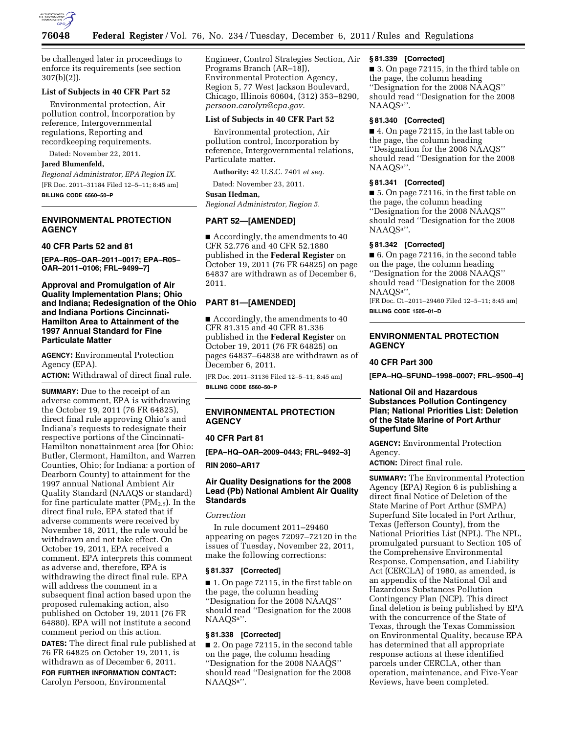

be challenged later in proceedings to enforce its requirements (see section 307(b)(2)).

### **List of Subjects in 40 CFR Part 52**

Environmental protection, Air pollution control, Incorporation by reference, Intergovernmental regulations, Reporting and recordkeeping requirements.

Dated: November 22, 2011.

## **Jared Blumenfeld,**

*Regional Administrator, EPA Region IX.*  [FR Doc. 2011–31184 Filed 12–5–11; 8:45 am] **BILLING CODE 6560–50–P** 

## **ENVIRONMENTAL PROTECTION AGENCY**

#### **40 CFR Parts 52 and 81**

**[EPA–R05–OAR–2011–0017; EPA–R05– OAR–2011–0106; FRL–9499–7]** 

**Approval and Promulgation of Air Quality Implementation Plans; Ohio and Indiana; Redesignation of the Ohio and Indiana Portions Cincinnati-Hamilton Area to Attainment of the 1997 Annual Standard for Fine Particulate Matter** 

**AGENCY:** Environmental Protection Agency (EPA).

**ACTION:** Withdrawal of direct final rule.

**SUMMARY:** Due to the receipt of an adverse comment, EPA is withdrawing the October 19, 2011 (76 FR 64825), direct final rule approving Ohio's and Indiana's requests to redesignate their respective portions of the Cincinnati-Hamilton nonattainment area (for Ohio: Butler, Clermont, Hamilton, and Warren Counties, Ohio; for Indiana: a portion of Dearborn County) to attainment for the 1997 annual National Ambient Air Quality Standard (NAAQS or standard) for fine particulate matter  $(PM_{2.5})$ . In the direct final rule, EPA stated that if adverse comments were received by November 18, 2011, the rule would be withdrawn and not take effect. On October 19, 2011, EPA received a comment. EPA interprets this comment as adverse and, therefore, EPA is withdrawing the direct final rule. EPA will address the comment in a subsequent final action based upon the proposed rulemaking action, also published on October 19, 2011 (76 FR 64880). EPA will not institute a second comment period on this action. **DATES:** The direct final rule published at 76 FR 64825 on October 19, 2011, is withdrawn as of December 6, 2011.

**FOR FURTHER INFORMATION CONTACT:**  Carolyn Persoon, Environmental

Engineer, Control Strategies Section, Air Programs Branch (AR–18J), Environmental Protection Agency, Region 5, 77 West Jackson Boulevard, Chicago, Illinois 60604, (312) 353–8290, *[persoon.carolyn@epa.gov.](mailto:persoon.carolyn@epa.gov)* 

## **List of Subjects in 40 CFR Part 52**

Environmental protection, Air pollution control, Incorporation by reference, Intergovernmental relations, Particulate matter.

**Authority:** 42 U.S.C. 7401 *et seq.* 

Dated: November 23, 2011.

### **Susan Hedman,**

*Regional Administrator, Region 5.* 

### **PART 52—[AMENDED]**

 $\blacksquare$  Accordingly, the amendments to 40 CFR 52.776 and 40 CFR 52.1880 published in the **Federal Register** on October 19, 2011 (76 FR 64825) on page 64837 are withdrawn as of December 6, 2011.

### **PART 81—[AMENDED]**

■ Accordingly, the amendments to 40 CFR 81.315 and 40 CFR 81.336 published in the **Federal Register** on October 19, 2011 (76 FR 64825) on pages 64837–64838 are withdrawn as of December 6, 2011.

[FR Doc. 2011–31136 Filed 12–5–11; 8:45 am]

**BILLING CODE 6560–50–P** 

## **ENVIRONMENTAL PROTECTION AGENCY**

### **40 CFR Part 81**

**[EPA–HQ–OAR–2009–0443; FRL–9492–3]** 

**RIN 2060–AR17** 

### **Air Quality Designations for the 2008 Lead (Pb) National Ambient Air Quality Standards**

### *Correction*

In rule document 2011–29460 appearing on pages 72097–72120 in the issues of Tuesday, November 22, 2011, make the following corrections:

### **§ 81.337 [Corrected]**

■ 1. On page 72115, in the first table on the page, the column heading ''Designation for the 2008 NAAQS'' should read ''Designation for the 2008 NAAQSa''.

### **§ 81.338 [Corrected]**

■ 2. On page 72115, in the second table on the page, the column heading ''Designation for the 2008 NAAQS'' should read ''Designation for the 2008 NAAQSa''.

#### **§ 81.339 [Corrected]**

■ 3. On page 72115, in the third table on the page, the column heading ''Designation for the 2008 NAAQS'' should read ''Designation for the 2008 NAAQSa''.

# **§ 81.340 [Corrected]**

■ 4. On page 72115, in the last table on the page, the column heading ''Designation for the 2008 NAAQS'' should read ''Designation for the 2008 NAAQSa''.

#### **§ 81.341 [Corrected]**

■ 5. On page 72116, in the first table on the page, the column heading ''Designation for the 2008 NAAQS'' should read ''Designation for the 2008 NAAQSa''.

#### **§ 81.342 [Corrected]**

■ 6. On page 72116, in the second table on the page, the column heading ''Designation for the 2008 NAAQS'' should read ''Designation for the 2008 NAAQSa''.

[FR Doc. C1–2011–29460 Filed 12–5–11; 8:45 am] **BILLING CODE 1505–01–D** 

## **ENVIRONMENTAL PROTECTION AGENCY**

### **40 CFR Part 300**

**[EPA–HQ–SFUND–1998–0007; FRL–9500–4]** 

### **National Oil and Hazardous Substances Pollution Contingency Plan; National Priorities List: Deletion of the State Marine of Port Arthur Superfund Site**

**AGENCY:** Environmental Protection Agency.

**ACTION:** Direct final rule.

**SUMMARY:** The Environmental Protection Agency (EPA) Region 6 is publishing a direct final Notice of Deletion of the State Marine of Port Arthur (SMPA) Superfund Site located in Port Arthur, Texas (Jefferson County), from the National Priorities List (NPL). The NPL, promulgated pursuant to Section 105 of the Comprehensive Environmental Response, Compensation, and Liability Act (CERCLA) of 1980, as amended, is an appendix of the National Oil and Hazardous Substances Pollution Contingency Plan (NCP). This direct final deletion is being published by EPA with the concurrence of the State of Texas, through the Texas Commission on Environmental Quality, because EPA has determined that all appropriate response actions at these identified parcels under CERCLA, other than operation, maintenance, and Five-Year Reviews, have been completed.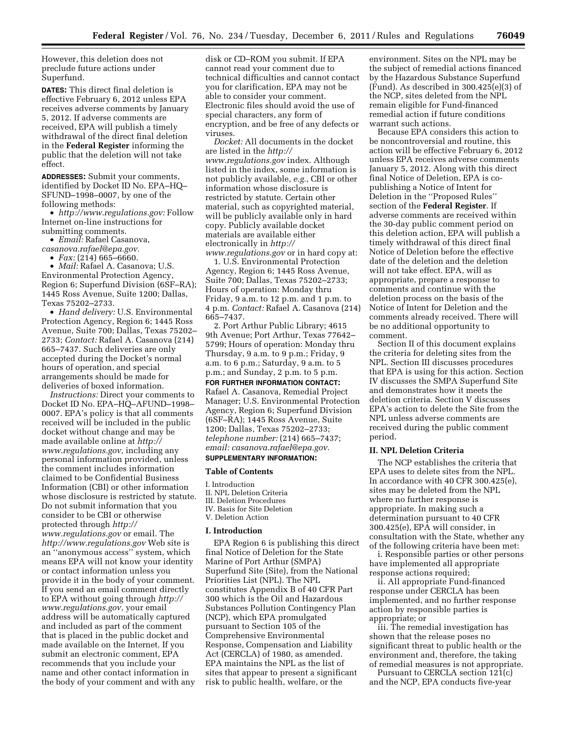However, this deletion does not preclude future actions under Superfund.

**DATES:** This direct final deletion is effective February 6, 2012 unless EPA receives adverse comments by January 5, 2012. If adverse comments are received, EPA will publish a timely withdrawal of the direct final deletion in the **Federal Register** informing the public that the deletion will not take effect.

**ADDRESSES:** Submit your comments, identified by Docket ID No. EPA–HQ– SFUND–1998–0007, by one of the following methods:

• *[http://www.regulations.gov:](http://www.regulations.gov)* Follow Internet on-line instructions for submitting comments.

• *Email:* Rafael Casanova,

*[casanova.rafael@epa.gov.](mailto:casanova.rafael@epa.gov)* 

• *Fax:* (214) 665–6660.

• *Mail:* Rafael A. Casanova; U.S. Environmental Protection Agency, Region 6; Superfund Division (6SF–RA); 1445 Ross Avenue, Suite 1200; Dallas, Texas 75202–2733.

• *Hand delivery:* U.S. Environmental Protection Agency, Region 6; 1445 Ross Avenue, Suite 700; Dallas, Texas 75202– 2733; *Contact:* Rafael A. Casanova (214) 665–7437. Such deliveries are only accepted during the Docket's normal hours of operation, and special arrangements should be made for deliveries of boxed information.

*Instructions:* Direct your comments to Docket ID No. EPA–HQ–AFUND–1998– 0007. EPA's policy is that all comments received will be included in the public docket without change and may be made available online at *[http://](http://www.regulations.gov)  [www.regulations.gov,](http://www.regulations.gov)* including any personal information provided, unless the comment includes information claimed to be Confidential Business Information (CBI) or other information whose disclosure is restricted by statute. Do not submit information that you consider to be CBI or otherwise protected through *[http://](http://www.regulations.gov)  [www.regulations.gov](http://www.regulations.gov)* or email. The *<http://www.regulations.gov>* Web site is an ''anonymous access'' system, which means EPA will not know your identity or contact information unless you provide it in the body of your comment. If you send an email comment directly to EPA without going through *[http://](http://www.regulations.gov) [www.regulations.gov,](http://www.regulations.gov)* your email address will be automatically captured and included as part of the comment that is placed in the public docket and made available on the Internet. If you submit an electronic comment, EPA recommends that you include your name and other contact information in the body of your comment and with any

disk or CD–ROM you submit. If EPA cannot read your comment due to technical difficulties and cannot contact you for clarification, EPA may not be able to consider your comment. Electronic files should avoid the use of special characters, any form of encryption, and be free of any defects or viruses.

*Docket:* All documents in the docket are listed in the *[http://](http://www.regulations.gov) [www.regulations.gov](http://www.regulations.gov)* index. Although listed in the index, some information is not publicly available, *e.g.,* CBI or other information whose disclosure is restricted by statute. Certain other material, such as copyrighted material, will be publicly available only in hard copy. Publicly available docket materials are available either electronically in *[http://](http://www.regulations.gov) [www.regulations.gov](http://www.regulations.gov)* or in hard copy at:

1. U.S. Environmental Protection Agency, Region 6; 1445 Ross Avenue, Suite 700; Dallas, Texas 75202–2733;

Hours of operation: Monday thru Friday, 9 a.m. to 12 p.m. and 1 p.m. to 4 p.m. *Contact:* Rafael A. Casanova (214) 665–7437.

2. Port Arthur Public Library; 4615 9th Avenue; Port Arthur, Texas 77642– 5799; Hours of operation: Monday thru Thursday, 9 a.m. to 9 p.m.; Friday, 9 a.m. to 6 p.m.; Saturday, 9 a.m. to 5 p.m.; and Sunday, 2 p.m. to 5 p.m. **FOR FURTHER INFORMATION CONTACT:** 

Rafael A. Casanova, Remedial Project Manager; U.S. Environmental Protection Agency, Region 6; Superfund Division (6SF–RA); 1445 Ross Avenue, Suite 1200; Dallas, Texas 75202–2733; *telephone number:* (214) 665–7437;

# *email: [casanova.rafael@epa.gov.](mailto:casanova.rafael@epa.gov)*

# **SUPPLEMENTARY INFORMATION:**

## **Table of Contents**

I. Introduction II. NPL Deletion Criteria III. Deletion Procedures

- IV. Basis for Site Deletion
- V. Deletion Action

# **I. Introduction**

EPA Region 6 is publishing this direct final Notice of Deletion for the State Marine of Port Arthur (SMPA) Superfund Site (Site), from the National Priorities List (NPL). The NPL constitutes Appendix B of 40 CFR Part 300 which is the Oil and Hazardous Substances Pollution Contingency Plan (NCP), which EPA promulgated pursuant to Section 105 of the Comprehensive Environmental Response, Compensation and Liability Act (CERCLA) of 1980, as amended. EPA maintains the NPL as the list of sites that appear to present a significant risk to public health, welfare, or the

environment. Sites on the NPL may be the subject of remedial actions financed by the Hazardous Substance Superfund (Fund). As described in 300.425(e)(3) of the NCP, sites deleted from the NPL remain eligible for Fund-financed remedial action if future conditions warrant such actions.

Because EPA considers this action to be noncontroversial and routine, this action will be effective February 6, 2012 unless EPA receives adverse comments January 5, 2012. Along with this direct final Notice of Deletion, EPA is copublishing a Notice of Intent for Deletion in the ''Proposed Rules'' section of the **Federal Register**. If adverse comments are received within the 30-day public comment period on this deletion action, EPA will publish a timely withdrawal of this direct final Notice of Deletion before the effective date of the deletion and the deletion will not take effect. EPA, will as appropriate, prepare a response to comments and continue with the deletion process on the basis of the Notice of Intent for Deletion and the comments already received. There will be no additional opportunity to comment.

Section II of this document explains the criteria for deleting sites from the NPL. Section III discusses procedures that EPA is using for this action. Section IV discusses the SMPA Superfund Site and demonstrates how it meets the deletion criteria. Section V discusses EPA's action to delete the Site from the NPL unless adverse comments are received during the public comment period.

#### **II. NPL Deletion Criteria**

The NCP establishes the criteria that EPA uses to delete sites from the NPL. In accordance with 40 CFR 300.425(e), sites may be deleted from the NPL where no further response is appropriate. In making such a determination pursuant to 40 CFR 300.425(e), EPA will consider, in consultation with the State, whether any of the following criteria have been met:

i. Responsible parties or other persons have implemented all appropriate response actions required;

ii. All appropriate Fund-financed response under CERCLA has been implemented, and no further response action by responsible parties is appropriate; or

iii. The remedial investigation has shown that the release poses no significant threat to public health or the environment and, therefore, the taking of remedial measures is not appropriate.

Pursuant to CERCLA section 121(c) and the NCP, EPA conducts five-year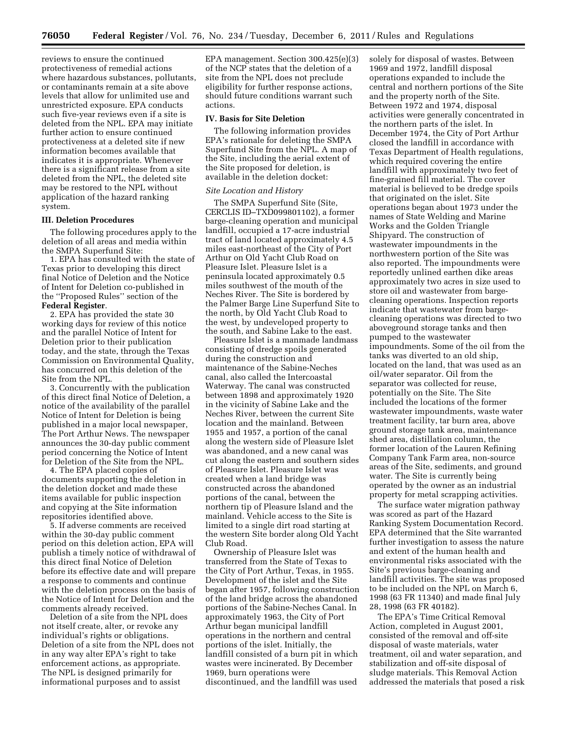reviews to ensure the continued protectiveness of remedial actions where hazardous substances, pollutants, or contaminants remain at a site above levels that allow for unlimited use and unrestricted exposure. EPA conducts such five-year reviews even if a site is deleted from the NPL. EPA may initiate further action to ensure continued protectiveness at a deleted site if new information becomes available that indicates it is appropriate. Whenever there is a significant release from a site deleted from the NPL, the deleted site may be restored to the NPL without application of the hazard ranking system.

#### **III. Deletion Procedures**

The following procedures apply to the deletion of all areas and media within the SMPA Superfund Site:

1. EPA has consulted with the state of Texas prior to developing this direct final Notice of Deletion and the Notice of Intent for Deletion co-published in the ''Proposed Rules'' section of the **Federal Register**.

2. EPA has provided the state 30 working days for review of this notice and the parallel Notice of Intent for Deletion prior to their publication today, and the state, through the Texas Commission on Environmental Quality, has concurred on this deletion of the Site from the NPL.

3. Concurrently with the publication of this direct final Notice of Deletion, a notice of the availability of the parallel Notice of Intent for Deletion is being published in a major local newspaper, The Port Arthur News. The newspaper announces the 30-day public comment period concerning the Notice of Intent for Deletion of the Site from the NPL.

4. The EPA placed copies of documents supporting the deletion in the deletion docket and made these items available for public inspection and copying at the Site information repositories identified above.

5. If adverse comments are received within the 30-day public comment period on this deletion action, EPA will publish a timely notice of withdrawal of this direct final Notice of Deletion before its effective date and will prepare a response to comments and continue with the deletion process on the basis of the Notice of Intent for Deletion and the comments already received.

Deletion of a site from the NPL does not itself create, alter, or revoke any individual's rights or obligations. Deletion of a site from the NPL does not in any way alter EPA's right to take enforcement actions, as appropriate. The NPL is designed primarily for informational purposes and to assist

EPA management. Section 300.425(e)(3) of the NCP states that the deletion of a site from the NPL does not preclude eligibility for further response actions, should future conditions warrant such actions.

#### **IV. Basis for Site Deletion**

The following information provides EPA's rationale for deleting the SMPA Superfund Site from the NPL. A map of the Site, including the aerial extent of the Site proposed for deletion, is available in the deletion docket:

#### *Site Location and History*

The SMPA Superfund Site (Site, CERCLIS ID–TXD099801102), a former barge-cleaning operation and municipal landfill, occupied a 17-acre industrial tract of land located approximately 4.5 miles east-northeast of the City of Port Arthur on Old Yacht Club Road on Pleasure Islet. Pleasure Islet is a peninsula located approximately 0.5 miles southwest of the mouth of the Neches River. The Site is bordered by the Palmer Barge Line Superfund Site to the north, by Old Yacht Club Road to the west, by undeveloped property to the south, and Sabine Lake to the east.

Pleasure Islet is a manmade landmass consisting of dredge spoils generated during the construction and maintenance of the Sabine-Neches canal, also called the Intercoastal Waterway. The canal was constructed between 1898 and approximately 1920 in the vicinity of Sabine Lake and the Neches River, between the current Site location and the mainland. Between 1955 and 1957, a portion of the canal along the western side of Pleasure Islet was abandoned, and a new canal was cut along the eastern and southern sides of Pleasure Islet. Pleasure Islet was created when a land bridge was constructed across the abandoned portions of the canal, between the northern tip of Pleasure Island and the mainland. Vehicle access to the Site is limited to a single dirt road starting at the western Site border along Old Yacht Club Road.

Ownership of Pleasure Islet was transferred from the State of Texas to the City of Port Arthur, Texas, in 1955. Development of the islet and the Site began after 1957, following construction of the land bridge across the abandoned portions of the Sabine-Neches Canal. In approximately 1963, the City of Port Arthur began municipal landfill operations in the northern and central portions of the islet. Initially, the landfill consisted of a burn pit in which wastes were incinerated. By December 1969, burn operations were discontinued, and the landfill was used

solely for disposal of wastes. Between 1969 and 1972, landfill disposal operations expanded to include the central and northern portions of the Site and the property north of the Site. Between 1972 and 1974, disposal activities were generally concentrated in the northern parts of the islet. In December 1974, the City of Port Arthur closed the landfill in accordance with Texas Department of Health regulations, which required covering the entire landfill with approximately two feet of fine-grained fill material. The cover material is believed to be dredge spoils that originated on the islet. Site operations began about 1973 under the names of State Welding and Marine Works and the Golden Triangle Shipyard. The construction of wastewater impoundments in the northwestern portion of the Site was also reported. The impoundments were reportedly unlined earthen dike areas approximately two acres in size used to store oil and wastewater from bargecleaning operations. Inspection reports indicate that wastewater from bargecleaning operations was directed to two aboveground storage tanks and then pumped to the wastewater impoundments. Some of the oil from the tanks was diverted to an old ship, located on the land, that was used as an oil/water separator. Oil from the separator was collected for reuse, potentially on the Site. The Site included the locations of the former wastewater impoundments, waste water treatment facility, tar burn area, above ground storage tank area, maintenance shed area, distillation column, the former location of the Lauren Refining Company Tank Farm area, non-source areas of the Site, sediments, and ground water. The Site is currently being operated by the owner as an industrial property for metal scrapping activities.

The surface water migration pathway was scored as part of the Hazard Ranking System Documentation Record. EPA determined that the Site warranted further investigation to assess the nature and extent of the human health and environmental risks associated with the Site's previous barge-cleaning and landfill activities. The site was proposed to be included on the NPL on March 6, 1998 (63 FR 11340) and made final July 28, 1998 (63 FR 40182).

The EPA's Time Critical Removal Action, completed in August 2001, consisted of the removal and off-site disposal of waste materials, water treatment, oil and water separation, and stabilization and off-site disposal of sludge materials. This Removal Action addressed the materials that posed a risk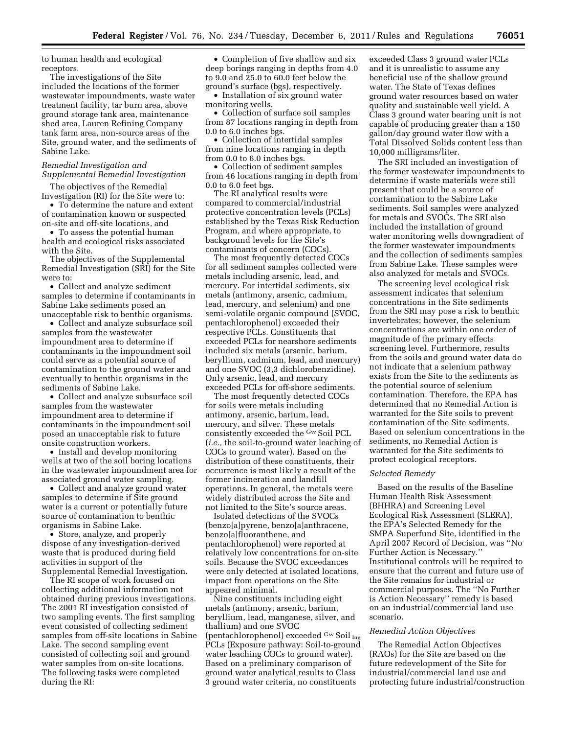to human health and ecological receptors.

The investigations of the Site included the locations of the former wastewater impoundments, waste water treatment facility, tar burn area, above ground storage tank area, maintenance shed area, Lauren Refining Company tank farm area, non-source areas of the Site, ground water, and the sediments of Sabine Lake.

### *Remedial Investigation and Supplemental Remedial Investigation*

The objectives of the Remedial Investigation (RI) for the Site were to:

• To determine the nature and extent of contamination known or suspected on-site and off-site locations, and

• To assess the potential human health and ecological risks associated with the Site.

The objectives of the Supplemental Remedial Investigation (SRI) for the Site were to:

• Collect and analyze sediment samples to determine if contaminants in Sabine Lake sediments posed an unacceptable risk to benthic organisms.

• Collect and analyze subsurface soil samples from the wastewater impoundment area to determine if contaminants in the impoundment soil could serve as a potential source of contamination to the ground water and eventually to benthic organisms in the sediments of Sabine Lake.

• Collect and analyze subsurface soil samples from the wastewater impoundment area to determine if contaminants in the impoundment soil posed an unacceptable risk to future onsite construction workers.

• Install and develop monitoring wells at two of the soil boring locations in the wastewater impoundment area for associated ground water sampling.

• Collect and analyze ground water samples to determine if Site ground water is a current or potentially future source of contamination to benthic organisms in Sabine Lake.

• Store, analyze, and properly dispose of any investigation-derived waste that is produced during field activities in support of the Supplemental Remedial Investigation.

The RI scope of work focused on collecting additional information not obtained during previous investigations. The 2001 RI investigation consisted of two sampling events. The first sampling event consisted of collecting sediment samples from off-site locations in Sabine Lake. The second sampling event consisted of collecting soil and ground water samples from on-site locations. The following tasks were completed during the RI:

• Completion of five shallow and six deep borings ranging in depths from 4.0 to 9.0 and 25.0 to 60.0 feet below the ground's surface (bgs), respectively.

• Installation of six ground water monitoring wells.

• Collection of surface soil samples from 87 locations ranging in depth from 0.0 to 6.0 inches bgs.

• Collection of intertidal samples from nine locations ranging in depth from 0.0 to 6.0 inches bgs.

• Collection of sediment samples from 46 locations ranging in depth from 0.0 to 6.0 feet bgs.

The RI analytical results were compared to commercial/industrial protective concentration levels (PCLs) established by the Texas Risk Reduction Program, and where appropriate, to background levels for the Site's contaminants of concern (COCs).

The most frequently detected COCs for all sediment samples collected were metals including arsenic, lead, and mercury. For intertidal sediments, six metals (antimony, arsenic, cadmium, lead, mercury, and selenium) and one semi-volatile organic compound (SVOC, pentachlorophenol) exceeded their respective PCLs. Constituents that exceeded PCLs for nearshore sediments included six metals (arsenic, barium, beryllium, cadmium, lead, and mercury) and one SVOC (3,3 dichlorobenzidine). Only arsenic, lead, and mercury exceeded PCLs for off-shore sediments.

The most frequently detected COCs for soils were metals including antimony, arsenic, barium, lead, mercury, and silver. These metals consistently exceeded the Gw Soil PCL (*i.e.,* the soil-to-ground water leaching of COCs to ground water). Based on the distribution of these constituents, their occurrence is most likely a result of the former incineration and landfill operations. In general, the metals were widely distributed across the Site and not limited to the Site's source areas.

Isolated detections of the SVOCs (benzo[a]pyrene, benzo[a]anthracene, benzo[a]fluoranthene, and pentachlorophenol) were reported at relatively low concentrations for on-site soils. Because the SVOC exceedances were only detected at isolated locations, impact from operations on the Site appeared minimal.

Nine constituents including eight metals (antimony, arsenic, barium, beryllium, lead, manganese, silver, and thallium) and one SVOC (pentachlorophenol) exceeded <sup>Gw</sup> Soil <sub>Ing</sub> PCLs (Exposure pathway: Soil-to-ground water leaching COCs to ground water). Based on a preliminary comparison of ground water analytical results to Class 3 ground water criteria, no constituents

exceeded Class 3 ground water PCLs and it is unrealistic to assume any beneficial use of the shallow ground water. The State of Texas defines ground water resources based on water quality and sustainable well yield. A Class 3 ground water bearing unit is not capable of producing greater than a 150 gallon/day ground water flow with a Total Dissolved Solids content less than 10,000 milligrams/liter.

The SRI included an investigation of the former wastewater impoundments to determine if waste materials were still present that could be a source of contamination to the Sabine Lake sediments. Soil samples were analyzed for metals and SVOCs. The SRI also included the installation of ground water monitoring wells downgradient of the former wastewater impoundments and the collection of sediments samples from Sabine Lake. These samples were also analyzed for metals and SVOCs.

The screening level ecological risk assessment indicates that selenium concentrations in the Site sediments from the SRI may pose a risk to benthic invertebrates; however, the selenium concentrations are within one order of magnitude of the primary effects screening level. Furthermore, results from the soils and ground water data do not indicate that a selenium pathway exists from the Site to the sediments as the potential source of selenium contamination. Therefore, the EPA has determined that no Remedial Action is warranted for the Site soils to prevent contamination of the Site sediments. Based on selenium concentrations in the sediments, no Remedial Action is warranted for the Site sediments to protect ecological receptors.

#### *Selected Remedy*

Based on the results of the Baseline Human Health Risk Assessment (BHHRA) and Screening Level Ecological Risk Assessment (SLERA), the EPA's Selected Remedy for the SMPA Superfund Site, identified in the April 2007 Record of Decision, was ''No Further Action is Necessary.'' Institutional controls will be required to ensure that the current and future use of the Site remains for industrial or commercial purposes. The ''No Further is Action Necessary'' remedy is based on an industrial/commercial land use scenario.

#### *Remedial Action Objectives*

The Remedial Action Objectives (RAOs) for the Site are based on the future redevelopment of the Site for industrial/commercial land use and protecting future industrial/construction